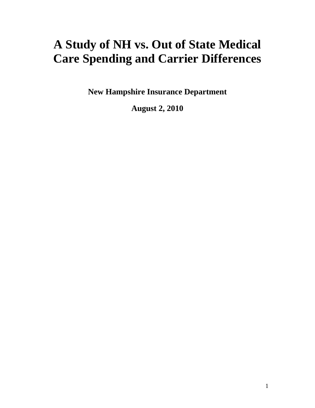# **A Study of NH vs. Out of State Medical Care Spending and Carrier Differences**

**New Hampshire Insurance Department** 

**August 2, 2010**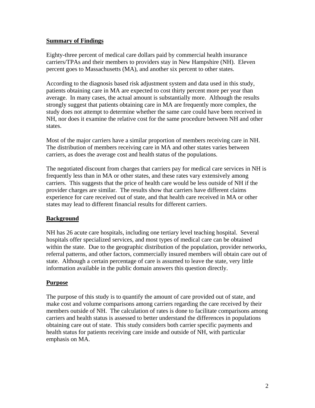#### **Summary of Findings**

Eighty-three percent of medical care dollars paid by commercial health insurance carriers/TPAs and their members to providers stay in New Hampshire (NH). Eleven percent goes to Massachusetts (MA), and another six percent to other states.

According to the diagnosis based risk adjustment system and data used in this study, patients obtaining care in MA are expected to cost thirty percent more per year than average. In many cases, the actual amount is substantially more. Although the results strongly suggest that patients obtaining care in MA are frequently more complex, the study does not attempt to determine whether the same care could have been received in NH, nor does it examine the relative cost for the same procedure between NH and other states.

Most of the major carriers have a similar proportion of members receiving care in NH. The distribution of members receiving care in MA and other states varies between carriers, as does the average cost and health status of the populations.

The negotiated discount from charges that carriers pay for medical care services in NH is frequently less than in MA or other states, and these rates vary extensively among carriers. This suggests that the price of health care would be less outside of NH if the provider charges are similar. The results show that carriers have different claims experience for care received out of state, and that health care received in MA or other states may lead to different financial results for different carriers.

#### **Background**

NH has 26 acute care hospitals, including one tertiary level teaching hospital. Several hospitals offer specialized services, and most types of medical care can be obtained within the state. Due to the geographic distribution of the population, provider networks, referral patterns, and other factors, commercially insured members will obtain care out of state. Although a certain percentage of care is assumed to leave the state, very little information available in the public domain answers this question directly.

#### **Purpose**

The purpose of this study is to quantify the amount of care provided out of state, and make cost and volume comparisons among carriers regarding the care received by their members outside of NH. The calculation of rates is done to facilitate comparisons among carriers and health status is assessed to better understand the differences in populations obtaining care out of state. This study considers both carrier specific payments and health status for patients receiving care inside and outside of NH, with particular emphasis on MA.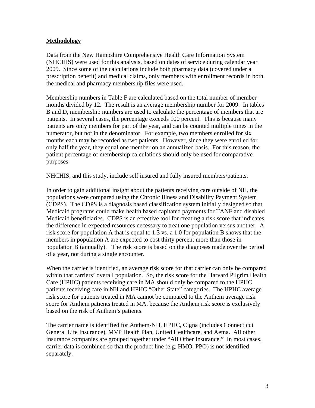#### **Methodology**

Data from the New Hampshire Comprehensive Health Care Information System (NHCHIS) were used for this analysis, based on dates of service during calendar year 2009. Since some of the calculations include both pharmacy data (covered under a prescription benefit) and medical claims, only members with enrollment records in both the medical and pharmacy membership files were used.

Membership numbers in Table F are calculated based on the total number of member months divided by 12. The result is an average membership number for 2009. In tables B and D, membership numbers are used to calculate the percentage of members that are patients. In several cases, the percentage exceeds 100 percent. This is because many patients are only members for part of the year, and can be counted multiple times in the numerator, but not in the denominator. For example, two members enrolled for six months each may be recorded as two patients. However, since they were enrolled for only half the year, they equal one member on an annualized basis. For this reason, the patient percentage of membership calculations should only be used for comparative purposes.

NHCHIS, and this study, include self insured and fully insured members/patients.

In order to gain additional insight about the patients receiving care outside of NH, the populations were compared using the Chronic Illness and Disability Payment System (CDPS). The CDPS is a diagnosis based classification system initially designed so that Medicaid programs could make health based capitated payments for TANF and disabled Medicaid beneficiaries. CDPS is an effective tool for creating a risk score that indicates the difference in expected resources necessary to treat one population versus another. A risk score for population A that is equal to 1.3 vs. a 1.0 for population B shows that the members in population A are expected to cost thirty percent more than those in population B (annually). The risk score is based on the diagnoses made over the period of a year, not during a single encounter.

When the carrier is identified, an average risk score for that carrier can only be compared within that carriers' overall population. So, the risk score for the Harvard Pilgrim Health Care (HPHC) patients receiving care in MA should only be compared to the HPHC patients receiving care in NH and HPHC "Other State" categories. The HPHC average risk score for patients treated in MA cannot be compared to the Anthem average risk score for Anthem patients treated in MA, because the Anthem risk score is exclusively based on the risk of Anthem's patients.

The carrier name is identified for Anthem-NH, HPHC, Cigna (includes Connecticut General Life Insurance), MVP Health Plan, United Healthcare, and Aetna. All other insurance companies are grouped together under "All Other Insurance." In most cases, carrier data is combined so that the product line (e.g. HMO, PPO) is not identified separately.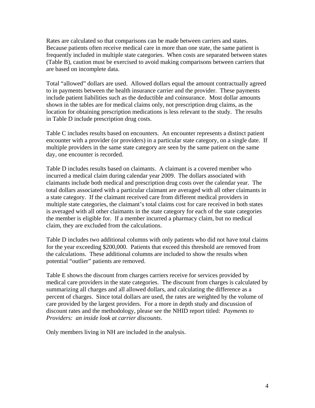Rates are calculated so that comparisons can be made between carriers and states. Because patients often receive medical care in more than one state, the same patient is frequently included in multiple state categories. When costs are separated between states (Table B), caution must be exercised to avoid making comparisons between carriers that are based on incomplete data.

Total "allowed" dollars are used. Allowed dollars equal the amount contractually agreed to in payments between the health insurance carrier and the provider. These payments include patient liabilities such as the deductible and coinsurance. Most dollar amounts shown in the tables are for medical claims only, not prescription drug claims, as the location for obtaining prescription medications is less relevant to the study. The results in Table D include prescription drug costs.

Table C includes results based on encounters. An encounter represents a distinct patient encounter with a provider (or providers) in a particular state category, on a single date. If multiple providers in the same state category are seen by the same patient on the same day, one encounter is recorded.

Table D includes results based on claimants. A claimant is a covered member who incurred a medical claim during calendar year 2009. The dollars associated with claimants include both medical and prescription drug costs over the calendar year. The total dollars associated with a particular claimant are averaged with all other claimants in a state category. If the claimant received care from different medical providers in multiple state categories, the claimant's total claims cost for care received in both states is averaged with all other claimants in the state category for each of the state categories the member is eligible for. If a member incurred a pharmacy claim, but no medical claim, they are excluded from the calculations.

Table D includes two additional columns with only patients who did not have total claims for the year exceeding \$200,000. Patients that exceed this threshold are removed from the calculations. These additional columns are included to show the results when potential "outlier" patients are removed.

Table E shows the discount from charges carriers receive for services provided by medical care providers in the state categories. The discount from charges is calculated by summarizing all charges and all allowed dollars, and calculating the difference as a percent of charges. Since total dollars are used, the rates are weighted by the volume of care provided by the largest providers. For a more in depth study and discussion of discount rates and the methodology, please see the NHID report titled: *Payments to Providers: an inside look at carrier discounts*.

Only members living in NH are included in the analysis.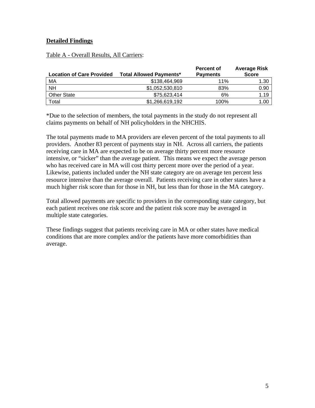#### **Detailed Findings**

|--|

| <b>Location of Care Provided</b> | <b>Total Allowed Payments*</b> | <b>Percent of</b><br><b>Payments</b> | <b>Average Risk</b><br><b>Score</b> |
|----------------------------------|--------------------------------|--------------------------------------|-------------------------------------|
| МA                               | \$138,464,969                  | 11%                                  | 1.30                                |
| <b>NH</b>                        | \$1,052,530,810                | 83%                                  | 0.90                                |
| <b>Other State</b>               | \$75,623,414                   | 6%                                   | 1.19                                |
| Total                            | \$1,266,619,192                | 100%                                 | 1.00                                |

\*Due to the selection of members, the total payments in the study do not represent all claims payments on behalf of NH policyholders in the NHCHIS.

The total payments made to MA providers are eleven percent of the total payments to all providers. Another 83 percent of payments stay in NH. Across all carriers, the patients receiving care in MA are expected to be on average thirty percent more resource intensive, or "sicker" than the average patient. This means we expect the average person who has received care in MA will cost thirty percent more over the period of a year. Likewise, patients included under the NH state category are on average ten percent less resource intensive than the average overall. Patients receiving care in other states have a much higher risk score than for those in NH, but less than for those in the MA category.

Total allowed payments are specific to providers in the corresponding state category, but each patient receives one risk score and the patient risk score may be averaged in multiple state categories.

These findings suggest that patients receiving care in MA or other states have medical conditions that are more complex and/or the patients have more comorbidities than average.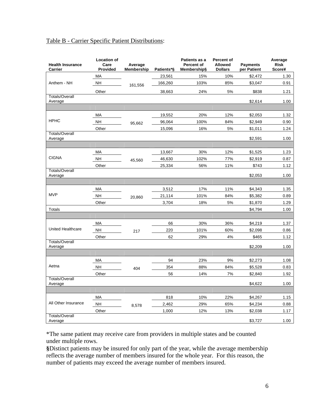| <b>Health Insurance</b><br>Carrier | <b>Location of</b><br>Care<br>Provided | Average<br>Membership | Patients*§ | Patients as a<br><b>Percent of</b><br>Membership§ | <b>Percent of</b><br><b>Allowed</b><br><b>Dollars</b> | <b>Payments</b><br>per Patient | Average<br><b>Risk</b><br><b>Score¥</b> |
|------------------------------------|----------------------------------------|-----------------------|------------|---------------------------------------------------|-------------------------------------------------------|--------------------------------|-----------------------------------------|
|                                    | MA                                     |                       | 23,561     | 15%                                               | 10%                                                   | \$2,472                        | 1.30                                    |
| Anthem - NH                        | <b>NH</b>                              | 161,556               | 166,260    | 103%                                              | 85%                                                   | \$3,047                        | 0.91                                    |
|                                    | Other                                  |                       | 38,663     | 24%                                               | 5%                                                    | \$838                          | 1.21                                    |
| <b>Totals/Overall</b><br>Average   |                                        |                       |            |                                                   |                                                       | \$2,614                        | 1.00                                    |
|                                    |                                        |                       |            |                                                   |                                                       |                                |                                         |
|                                    | МA                                     |                       | 19,552     | 20%                                               | 12%                                                   | \$2,053                        | 1.32                                    |
| <b>HPHC</b>                        | <b>NH</b>                              | 95,662                | 96,064     | 100%                                              | 84%                                                   | \$2,949                        | 0.90                                    |
|                                    | Other                                  |                       | 15,096     | 16%                                               | 5%                                                    | \$1,011                        | 1.24                                    |
| <b>Totals/Overall</b><br>Average   |                                        |                       |            |                                                   |                                                       | \$2,591                        | 1.00                                    |
|                                    |                                        |                       |            |                                                   |                                                       |                                |                                         |
|                                    | MA                                     |                       | 13,667     | 30%                                               | 12%                                                   | \$1,525                        | 1.23                                    |
| <b>CIGNA</b>                       | <b>NH</b>                              | 45,560                | 46,630     | 102%                                              | 77%                                                   | \$2,919                        | 0.87                                    |
|                                    | Other                                  |                       | 25,334     | 56%                                               | 11%                                                   | \$743                          | 1.12                                    |
| <b>Totals/Overall</b><br>Average   |                                        |                       |            |                                                   |                                                       | \$2,053                        | 1.00                                    |
|                                    |                                        |                       |            |                                                   |                                                       |                                |                                         |
|                                    | МA                                     |                       | 3,512      | 17%                                               | 11%                                                   | \$4,343                        | 1.35                                    |
| <b>MVP</b>                         | <b>NH</b>                              | 20,860                | 21,114     | 101%                                              | 84%                                                   | \$5,382                        | 0.89                                    |
|                                    | Other                                  |                       | 3,704      | 18%                                               | 5%                                                    | \$1,870                        | 1.29                                    |
| Totals                             |                                        |                       |            |                                                   |                                                       | \$4,794                        | 1.00                                    |
|                                    |                                        |                       |            |                                                   |                                                       |                                |                                         |
|                                    | MA                                     |                       | 66         | 30%                                               | 36%                                                   | \$4,219                        | 1.37                                    |
| <b>United Healthcare</b>           | <b>NH</b>                              | 217                   | 220        | 101%                                              | 60%                                                   | \$2,098                        | 0.86                                    |
|                                    | Other                                  |                       | 62         | 29%                                               | 4%                                                    | \$465                          | 1.12                                    |
| <b>Totals/Overall</b><br>Average   |                                        |                       |            |                                                   |                                                       | \$2,209                        | 1.00                                    |
|                                    |                                        |                       |            |                                                   |                                                       |                                |                                         |
|                                    | МA                                     |                       | 94         | 23%                                               | 9%                                                    | \$2,273                        | 1.08                                    |
| Aetna                              | <b>NH</b>                              | 404                   | 354        | 88%                                               | 84%                                                   | \$5,528                        | 0.83                                    |
|                                    | Other                                  |                       | 56         | 14%                                               | 7%                                                    | \$2,840                        | 1.92                                    |
| <b>Totals/Overall</b><br>Average   |                                        |                       |            |                                                   |                                                       | \$4,622                        | 1.00                                    |
|                                    |                                        |                       |            |                                                   |                                                       |                                |                                         |
|                                    | MA                                     |                       | 818        | 10%                                               | 22%                                                   | \$4,267                        | 1.15                                    |
| All Other Insurance                | <b>NH</b>                              | 8,578                 | 2,462      | 29%                                               | 65%                                                   | \$4,234                        | 0.88                                    |
|                                    | Other                                  |                       | 1,000      | 12%                                               | 13%                                                   | \$2,038                        | 1.17                                    |
| <b>Totals/Overall</b><br>Average   |                                        |                       |            |                                                   |                                                       | \$3,727                        | 1.00                                    |

### Table B - Carrier Specific Patient Distributions:

\*The same patient may receive care from providers in multiple states and be counted under multiple rows.

**§**Distinct patients may be insured for only part of the year, while the average membership reflects the average number of members insured for the whole year. For this reason, the number of patients may exceed the average number of members insured.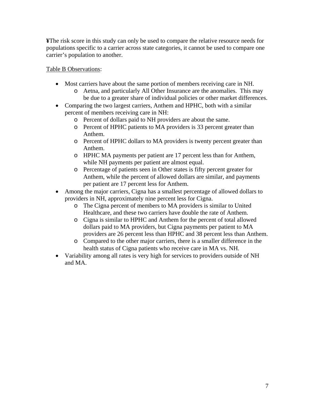**¥**The risk score in this study can only be used to compare the relative resource needs for populations specific to a carrier across state categories, it cannot be used to compare one carrier's population to another.

#### Table B Observations:

- Most carriers have about the same portion of members receiving care in NH.
	- o Aetna, and particularly All Other Insurance are the anomalies. This may be due to a greater share of individual policies or other market differences.
- Comparing the two largest carriers, Anthem and HPHC, both with a similar percent of members receiving care in NH:
	- o Percent of dollars paid to NH providers are about the same.
	- o Percent of HPHC patients to MA providers is 33 percent greater than Anthem.
	- o Percent of HPHC dollars to MA providers is twenty percent greater than Anthem.
	- o HPHC MA payments per patient are 17 percent less than for Anthem, while NH payments per patient are almost equal.
	- o Percentage of patients seen in Other states is fifty percent greater for Anthem, while the percent of allowed dollars are similar, and payments per patient are 17 percent less for Anthem.
- Among the major carriers, Cigna has a smallest percentage of allowed dollars to providers in NH, approximately nine percent less for Cigna.
	- o The Cigna percent of members to MA providers is similar to United Healthcare, and these two carriers have double the rate of Anthem.
	- o Cigna is similar to HPHC and Anthem for the percent of total allowed dollars paid to MA providers, but Cigna payments per patient to MA providers are 26 percent less than HPHC and 38 percent less than Anthem.
	- o Compared to the other major carriers, there is a smaller difference in the health status of Cigna patients who receive care in MA vs. NH.
- Variability among all rates is very high for services to providers outside of NH and MA.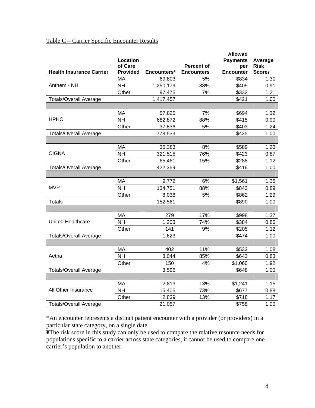## Table C – Carrier Specific Encounter Results

|                                 |                 |             |                   | <b>Allowed</b>   |               |
|---------------------------------|-----------------|-------------|-------------------|------------------|---------------|
|                                 | Location        |             |                   | <b>Payments</b>  | Average       |
|                                 | of Care         |             | <b>Percent of</b> | per              | <b>Risk</b>   |
| <b>Health Insurance Carrier</b> | <b>Provided</b> | Encounters* | <b>Encounters</b> | <b>Encounter</b> | <b>Score¥</b> |
|                                 | MA              | 69,803      | 5%                | \$834            | 1.30          |
| Anthem - NH                     | <b>NH</b>       | 1,250,179   | 88%               | \$405            | 0.91          |
|                                 | Other           | 97,475      | 7%                | \$332            | 1.21          |
| <b>Totals/Overall Average</b>   |                 | 1,417,457   |                   | \$421            | 1.00          |
|                                 |                 |             |                   |                  |               |
|                                 | MA              | 57,825      | 7%                | \$694            | 1.32          |
| <b>HPHC</b>                     | <b>NH</b>       | 682,872     | 88%               | \$415            | 0.90          |
|                                 | Other           | 37,836      | 5%                | \$403            | 1.24          |
| <b>Totals/Overall Average</b>   |                 | 778,533     |                   | \$435            | 1.00          |
|                                 |                 |             |                   |                  |               |
|                                 | MA              | 35,383      | 8%                | \$589            | 1.23          |
| <b>CIGNA</b>                    | <b>NH</b>       | 321,515     | 76%               | \$423            | 0.87          |
|                                 | Other           | 65,461      | 15%               | \$288            | 1.12          |
| <b>Totals/Overall Average</b>   |                 | 422,359     |                   | \$416            | 1.00          |
|                                 |                 |             |                   |                  |               |
|                                 | MA              | 9,772       | 6%                | \$1,561          | 1.35          |
| <b>MVP</b>                      | <b>NH</b>       | 134,751     | 88%               | \$843            | 0.89          |
|                                 | Other           | 8,038       | 5%                | \$862            | 1.29          |
| <b>Totals</b>                   |                 | 152,561     |                   | \$890            | 1.00          |
|                                 |                 |             |                   |                  |               |
|                                 | MA              | 279         | 17%               | \$998            | 1.37          |
| United Healthcare               | <b>NH</b>       | 1,203       | 74%               | \$384            | 0.86          |
|                                 | Other           | 141         | 9%                | \$205            | 1.12          |
| <b>Totals/Overall Average</b>   |                 | 1,623       |                   | \$474            | 1.00          |
|                                 |                 |             |                   |                  |               |
|                                 | MA              | 402         | 11%               | \$532            | 1.08          |
| Aetna                           | <b>NH</b>       | 3,044       | 85%               | \$643            | 0.83          |
|                                 | Other           | 150         | 4%                | \$1,060          | 1.92          |
| <b>Totals/Overall Average</b>   |                 | 3,596       |                   | \$648            | 1.00          |
|                                 |                 |             |                   |                  |               |
|                                 | MA              | 2,813       | 13%               | \$1,241          | 1.15          |
| All Other Insurance             | <b>NH</b>       | 15,405      | 73%               | \$677            | 0.88          |
|                                 |                 |             |                   | \$718            |               |
|                                 | Other           | 2,839       | 13%               |                  | 1.17          |
| <b>Totals/Overall Average</b>   |                 | 21,057      |                   | \$758            | 1.00          |

\*An encounter represents a distinct patient encounter with a provider (or providers) in a particular state category, on a single date.

**¥**The risk score in this study can only be used to compare the relative resource needs for populations specific to a carrier across state categories, it cannot be used to compare one carrier's population to another.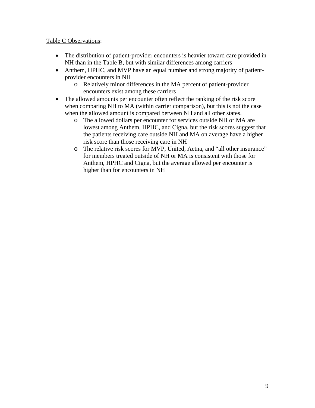#### Table C Observations:

- The distribution of patient-provider encounters is heavier toward care provided in NH than in the Table B, but with similar differences among carriers
- Anthem, HPHC, and MVP have an equal number and strong majority of patientprovider encounters in NH
	- o Relatively minor differences in the MA percent of patient-provider encounters exist among these carriers
- The allowed amounts per encounter often reflect the ranking of the risk score when comparing NH to MA (within carrier comparison), but this is not the case when the allowed amount is compared between NH and all other states.
	- o The allowed dollars per encounter for services outside NH or MA are lowest among Anthem, HPHC, and Cigna, but the risk scores suggest that the patients receiving care outside NH and MA on average have a higher risk score than those receiving care in NH
	- o The relative risk scores for MVP, United, Aetna, and "all other insurance" for members treated outside of NH or MA is consistent with those for Anthem, HPHC and Cigna, but the average allowed per encounter is higher than for encounters in NH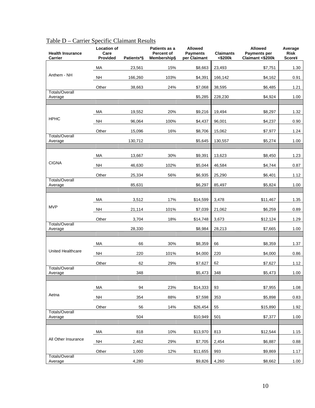| <b>Health Insurance</b><br>Carrier | <b>Location of</b><br>Care<br><b>Provided</b> | Patients*§ | Patients as a<br>Percent of<br>Membership§ | <b>Allowed</b><br><b>Payments</b><br>per Claimant | <b>Claimants</b><br><\$200k | <b>Allowed</b><br>Payments per<br>Claimant <\$200k | Average<br><b>Risk</b><br>Score¥ |
|------------------------------------|-----------------------------------------------|------------|--------------------------------------------|---------------------------------------------------|-----------------------------|----------------------------------------------------|----------------------------------|
|                                    | МA                                            | 23,561     | 15%                                        | \$8,663                                           | 23,493                      | \$7,751                                            | 1.30                             |
| Anthem - NH                        | <b>NH</b>                                     | 166,260    | 103%                                       | \$4,391                                           | 166,142                     | \$4,162                                            | 0.91                             |
|                                    | Other                                         | 38,663     | 24%                                        | \$7,068                                           | 38,595                      | \$6,485                                            | 1.21                             |
| <b>Totals/Overall</b><br>Average   |                                               |            |                                            | \$5,285                                           | 228,230                     | \$4,924                                            | 1.00                             |
|                                    |                                               |            |                                            |                                                   |                             |                                                    |                                  |
|                                    | МA                                            | 19,552     | 20%                                        | \$9,216                                           | 19,494                      | \$8,297                                            | 1.32                             |
| <b>HPHC</b>                        | <b>NH</b>                                     | 96,064     | 100%                                       | \$4,437                                           | 96,001                      | \$4,237                                            | 0.90                             |
|                                    | Other                                         | 15,096     | 16%                                        | \$8,706                                           | 15,062                      | \$7,977                                            | 1.24                             |
| <b>Totals/Overall</b><br>Average   |                                               | 130,712    |                                            | \$5,645                                           | 130,557                     | \$5,274                                            | 1.00                             |
|                                    |                                               |            |                                            |                                                   |                             |                                                    |                                  |
| <b>CIGNA</b>                       | МA                                            | 13,667     | 30%                                        | \$9,391                                           | 13,623                      | \$8,450                                            | 1.23                             |
|                                    | <b>NH</b>                                     | 46,630     | 102%                                       | \$5,044                                           | 46,584                      | \$4,744                                            | 0.87                             |
| <b>Totals/Overall</b>              | Other                                         | 25,334     | 56%                                        | \$6,935                                           | 25,290                      | \$6,401                                            | 1.12                             |
| Average                            |                                               | 85,631     |                                            | \$6,297                                           | 85,497                      | \$5,824                                            | 1.00                             |
|                                    | МA                                            | 3,512      | 17%                                        | \$14,599                                          | 3,478                       | \$11,467                                           | 1.35                             |
| <b>MVP</b>                         | <b>NH</b>                                     | 21,114     | 101%                                       | \$7,039                                           | 21,062                      | \$6,259                                            | 0.89                             |
|                                    | Other                                         | 3,704      | 18%                                        | \$14,748                                          | 3,673                       | \$12,124                                           | 1.29                             |
| <b>Totals/Overall</b><br>Average   |                                               | 28,330     |                                            | \$8,984                                           | 28,213                      | \$7,665                                            | 1.00                             |
|                                    |                                               |            |                                            |                                                   |                             |                                                    |                                  |
|                                    | MA                                            | 66         | 30%                                        | \$8,359                                           | 66                          | \$8,359                                            | 1.37                             |
| United Healthcare                  | <b>NH</b>                                     | 220        | 101%                                       | \$4,000                                           | 220                         | \$4,000                                            | 0.86                             |
|                                    | Other                                         | 62         | 29%                                        | \$7,627                                           | 62                          | \$7,627                                            | 1.12                             |
| <b>Totals/Overall</b><br>Average   |                                               | 348        |                                            | \$5,473                                           | 348                         | \$5,473                                            | 1.00                             |
|                                    |                                               |            |                                            |                                                   |                             |                                                    |                                  |
|                                    | MA                                            | 94         | 23%                                        | \$14,333                                          | 93                          | \$7,955                                            | 1.08                             |
| Aetna                              | <b>NH</b>                                     | 354        | 88%                                        | \$7,598                                           | 353                         | \$5,898                                            | 0.83                             |
|                                    | Other                                         | 56         | 14%                                        | \$26,454                                          | 55                          | \$15,890                                           | 1.92                             |
| <b>Totals/Overall</b><br>Average   |                                               | 504        |                                            | \$10,949                                          | 501                         | \$7,377                                            | 1.00                             |
|                                    |                                               |            |                                            |                                                   |                             |                                                    |                                  |
|                                    | MA                                            | 818        | 10%                                        | \$13,970                                          | 813                         | \$12,544                                           | 1.15                             |
| All Other Insurance                | <b>NH</b>                                     | 2,462      | 29%                                        | \$7,705                                           | 2,454                       | \$6,887                                            | 0.88                             |
| <b>Totals/Overall</b>              | Other                                         | 1,000      | 12%                                        | \$11,655                                          | 993                         | \$9,869                                            | 1.17                             |
| Average                            |                                               | 4,280      |                                            | \$9,826                                           | 4,260                       | \$8,662                                            | 1.00                             |

# Table D – Carrier Specific Claimant Results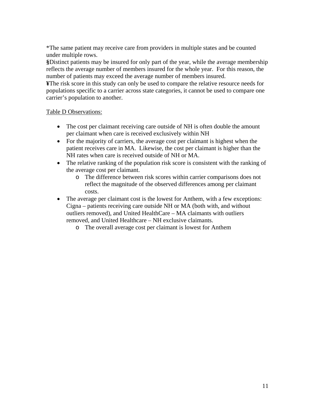\*The same patient may receive care from providers in multiple states and be counted under multiple rows.

**§**Distinct patients may be insured for only part of the year, while the average membership reflects the average number of members insured for the whole year. For this reason, the number of patients may exceed the average number of members insured.

**¥**The risk score in this study can only be used to compare the relative resource needs for populations specific to a carrier across state categories, it cannot be used to compare one carrier's population to another.

#### Table D Observations:

- The cost per claimant receiving care outside of NH is often double the amount per claimant when care is received exclusively within NH
- For the majority of carriers, the average cost per claimant is highest when the patient receives care in MA. Likewise, the cost per claimant is higher than the NH rates when care is received outside of NH or MA.
- The relative ranking of the population risk score is consistent with the ranking of the average cost per claimant.
	- o The difference between risk scores within carrier comparisons does not reflect the magnitude of the observed differences among per claimant costs.
- The average per claimant cost is the lowest for Anthem, with a few exceptions: Cigna – patients receiving care outside NH or MA (both with, and without outliers removed), and United HealthCare – MA claimants with outliers removed, and United Healthcare – NH exclusive claimants.
	- o The overall average cost per claimant is lowest for Anthem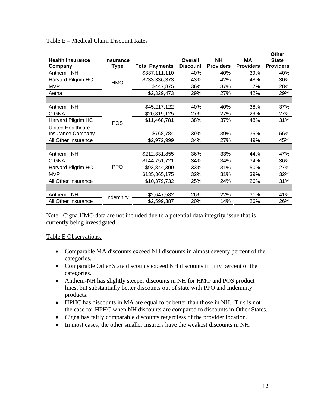#### Table E – Medical Claim Discount Rates

|                          |                  |                       |                 |                  |                  | Other            |
|--------------------------|------------------|-----------------------|-----------------|------------------|------------------|------------------|
| <b>Health Insurance</b>  | <b>Insurance</b> |                       | Overall         | <b>NH</b>        | МA               | <b>State</b>     |
| Company                  | Type             | <b>Total Payments</b> | <b>Discount</b> | <b>Providers</b> | <b>Providers</b> | <b>Providers</b> |
| Anthem - NH              |                  | \$337,111,110         | 40%             | 40%              | 39%              | 40%              |
| Harvard Pilgrim HC       | HMO              | \$233,336,373         | 43%             | 42%              | 48%              | 30%              |
| <b>MVP</b>               |                  | \$447,875             | 36%             | 37%              | 17%              | 28%              |
| Aetna                    |                  | \$2,329,473           | 29%             | 27%              | 42%              | 29%              |
|                          |                  |                       |                 |                  |                  |                  |
| Anthem - NH              |                  | \$45,217,122          | 40%             | 40%              | 38%              | 37%              |
| <b>CIGNA</b>             |                  | \$20,819,125          | 27%             | 27%              | 29%              | 27%              |
| Harvard Pilgrim HC       | <b>POS</b>       | \$11,468,781          | 38%             | 37%              | 48%              | 31%              |
| <b>United Healthcare</b> |                  |                       |                 |                  |                  |                  |
| <b>Insurance Company</b> |                  | \$768,784             | 39%             | 39%              | 35%              | 56%              |
| All Other Insurance      |                  | \$2,972,999           | 34%             | 27%              | 49%              | 45%              |
|                          |                  |                       |                 |                  |                  |                  |
| Anthem - NH              |                  | \$212,331,855         | 36%             | 33%              | 44%              | 47%              |
| <b>CIGNA</b>             |                  | \$144,751,721         | 34%             | 34%              | 34%              | 36%              |
| Harvard Pilgrim HC       | <b>PPO</b>       | \$93,844,300          | 33%             | 31%              | 50%              | 27%              |
| <b>MVP</b>               |                  | \$135,365,175         | 32%             | 31%              | 39%              | 32%              |
| All Other Insurance      |                  | \$10,379,732          | 25%             | 24%              | 26%              | 31%              |
|                          |                  |                       |                 |                  |                  |                  |
| Anthem - NH              | Indemnity        | \$2,647,582           | 26%             | 22%              | 31%              | 41%              |
| All Other Insurance      |                  | \$2,599,387           | 20%             | 14%              | 26%              | 26%              |

Note: Cigna HMO data are not included due to a potential data integrity issue that is currently being investigated.

Table E Observations:

- Comparable MA discounts exceed NH discounts in almost seventy percent of the categories.
- Comparable Other State discounts exceed NH discounts in fifty percent of the categories.
- Anthem-NH has slightly steeper discounts in NH for HMO and POS product lines, but substantially better discounts out of state with PPO and Indemnity products.
- HPHC has discounts in MA are equal to or better than those in NH. This is not the case for HPHC when NH discounts are compared to discounts in Other States.
- Cigna has fairly comparable discounts regardless of the provider location.
- In most cases, the other smaller insurers have the weakest discounts in NH.